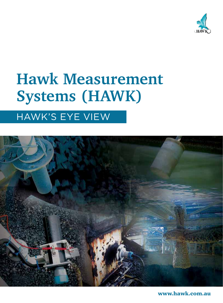

## **Hawk Measurement Systems (HAWK)**

## HAWK's eye view



www.hawk.com.au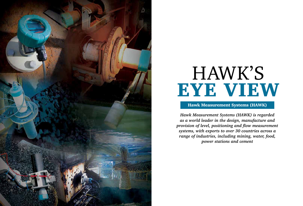

*Hawk Measurement Systems (HAWK) is regarded as a world leader in the design, manufacture and provision of level, positioning and flow measurement systems, with exports to over 30 countries across a range of industries, including mining, water, food, power stations and cement*



#### Hawk Measurement Systems (HAWK)

# HAWK's eye view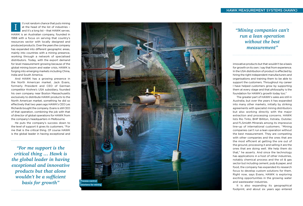And HAWK has a growing presence in the North American market. Jack Evans, formerly President and C EO of German competitor Krohne's USA subsidiary, founded his own company near Boston Massachusetts exclusively to distribute HAWK products to the North American market, something he did so effectively that two years ago HAWK's C EO Les Richards bought the company. Evans is still C EO of that operation, combining the job with that of director of global operations for HAWK from the company's headquarters in Melbourne.

He puts the company's success down to the level of support it gives its customers. "For me that is the critical thing. Of course HAWK is the global leader in having exceptional and

t's not random chance that puts mining at the head of the list of industries – and it's a long list – that HAWK serves. HAWK is an Australian company, founded in 1988 with a focus on serving that country's resources sector with locally designed and produced products. Over the years the company has expanded into different geographic areas, mainly into countries with a mining presence, working through a network of specialised distributors. Today, with the export demand for level measurement growing because of the global mining boom and water crisis, HAWK is forging into emerging markets including China, India and South America. I

innovative products but that wouldn't be a basis for growth on its own. I say that from experience. In the USA distribution of product is effected by hiring the right independent manufacturers and organisations and training them to be able to support the customers. Throughout my career I have helped customers grow by supporting them at every stage and that philosophy is the foundation for HAWK's growth today too."

The greater part of HAWK's sales are still in Australia, but over the years it has expanded into many other markets, initially by striking agreements with specialist mining distributors but also working directly with the major extraction and processing concerns. HAWK lists Rio Tinto, BHP Billiton, Xstrata, Outotec and FL Smidth Minerals among its impressive line-up of international customers. "Mining companies can't run a lean operation without the best measurement. They are competing with other companies and the ones that are the most efficient at getting the ore out of the ground, processing it and selling it are the ones that are doing well. We help them do that," he asserts. And since the technology has applications in a host of other industries, notably chemical process and the oil & gas sector but including cement, pulp & paper, and food, the company has expanded its research focus to develop custom solutions for them. Right now, says Evans, HAWK is exploring exciting opportunities in the growing water and wastewater industries.

It is also expanding its geographical footprint, and about six years ago entered

HAWK MEASUREMENT SYSTEMS (HAWK)



#### *"Mining companies can't run a lean operation without the best measurement"*

*"For me support is the critical thing … Hawk is the global leader in having exceptional and innovative products but that alone wouldn't be a sufficient basis for growth"*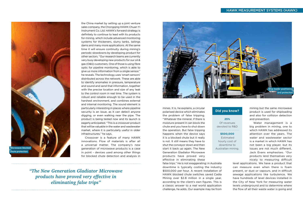the China market by setting up a joint venture sales company, the Chongqing HAWK Chuan Yi Instrument Co. Ltd. HAWK's forward strategy is definitely to continue to lead with its products for mining, which include advanced monitoring systems for thickeners, slurry tanks, tailings dams and many more applications. At the same time it will ensure continuity during mining's periodic slowdowns by developing product for other sectors. "Our research teams are currently very busy developing new products for our oil & gas (O&G) customers. One of those is using fibre optic for pipeline monitoring, which is able to give us more information from a single sensor," he reveals. The technology uses 'smart sensors' distributed across the network. These are able to identify anomalies in pressure, temperature and sound and send that information, together with the precise location and size of any leak to the control room in real time. The system is robust and reliable enough to be used in the harshest environment, and combines external and internal monitoring. The sound element is particularly interesting in places where pipeline security is an issue, as it can detect anyone digging, or even walking near the pipe. The product is being tested now and its launch is eagerly anticipated. "This is a crossover product that will be valuable in the water and wastewater market, where it is particularly useful in older infrastructures," he says.

Crossover is a feature of many HAWK innovations. Flow of materials is after all a universal matter. The company's new generation of microwave products is a case in point - devices used among other things for blocked chute detection and analysis in

*"The New Generation Gladiator Microwave products have proved very effective in eliminating false trips"*

mines. It is, he explains, a circular polarised device which eliminates the problem of false tripping. "Whatever the mineral, if there is moisture present it can block the chute and you have to shut down the operation. But false tripping happens when the device says it is a blocked chute but it really is not. It still means they have to shut the conveyor down and then start it back up again. The New Generation Gladiator Microwave products have proved very effective in eliminating these

false trips." He is not exaggerating: in Australia downtime is typically costing the industry \$500,000 per hour. A recent installation of HAWK blocked chute switches saved Cadia Mining over \$2.8 million in a single year, according to the client's own figures. This is a classic answer to a real world application challenge, he adds. Our example may be from mining but the same microwave product is used for shiploading and also for collision detection and prevention.

Water management is a big problem in mining, one to which HAWK has addressed its attention over the years. The water and wastewater sector is a market in which HAWK has not been a big player, but its issues are not much different, Jack Evans emphasises. "Our products lend themselves very nicely to measuring difficult

level applications. We have a product that can measure even when there is foam present, or dust or vapours, and in difficult sewage applications like turbulence. We have hundreds of level devices installed in the City of New York for measuring water levels underground and to determine where the flow of all their waste water is going and





**25%** Of revenues devoted to R&D

#### **\$500,000**

Estimated hourly cost of downtime to Australian mining.

#### **Did you know?**



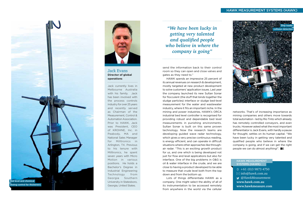*"We have been lucky in getting very talented and qualified people who believe in where the company is going"*

send the information back to their control room so they can open and close valves and gates as they need to."

> networks. That's of increasing importance as mining companies and others move towards total automation - led by Rio Tinto which already has remotely controlled conveyors, and even trucks. However asked what the most important differentiator is Jack Evans, with hardly a pause for thought, settles on its human capital. "We have been lucky in getting very talented and qualified people who believe in where the company is going, and if we can get the right people we can do almost anything!".  $BE$

HAWK spends an impressive 25 percent of its annual revenues on research & development, mostly targeted at new product development to solve customers' application issues. Last year the company launched its new Sultan Sonar for flocculent (the stuff that binds together the sludge particles) interface or sludge bed-level measurement for the water and wastewater industry, where it fits an important niche. In the mining and power industries, HAWK's ORCA industrial bed level controller is recognised for providing robust and dependable bed level measurements in punishing environments. Sultan Sonar is built on this same proven technology. Now the research teams are developing guided wave radar technology, which gives a very precise continuous reading, is energy efficient, and can operate in difficult situations where other approaches like throughair radar. "This is an exciting growth product for us, and one which is being developed not just for flow and level applications but also for interface. One of the big problems in O&G is oil & water interface in the crude, and we are close to having a product developed to be able to measure that crude level both from the top down and from the bottom up.

 $\textcircled{1}$  +61 (0)3 9873 4750  $\boxtimes$  info@hawk.com.au @HawkMeasurement **www.hawk.com.au www.hawkmeasure.com** 

Lots of things differentiate HAWK as a company. One might select the ability of all of its instrumentation to be accessed remotely from anywhere in the world via the cellular



#### Jack Evans **Director of global operations**

Jack currently lives in Melbourne Australia with his family. Jack has been involved with the process controls industry for over 25 years and recently served as Chairman of the Measurement, Control & Automation Association. Prior to HAWK, Jack was President, CEO of KROHNE, Inc. in Peabody, MA and National Sales Manager for Milltronics in Arlington, TX. Previous to his tenure with Milltronics, he spent seven years with Micro Motion in various positions. He holds a Bachelor's Degree in Industrial Engineering Technology from Georgia Southern University in Statesboro, Georgia, United States.





#### Hawk Measurement Systems (HAWK)



#### Hawk Measurement Systems (HAWK)